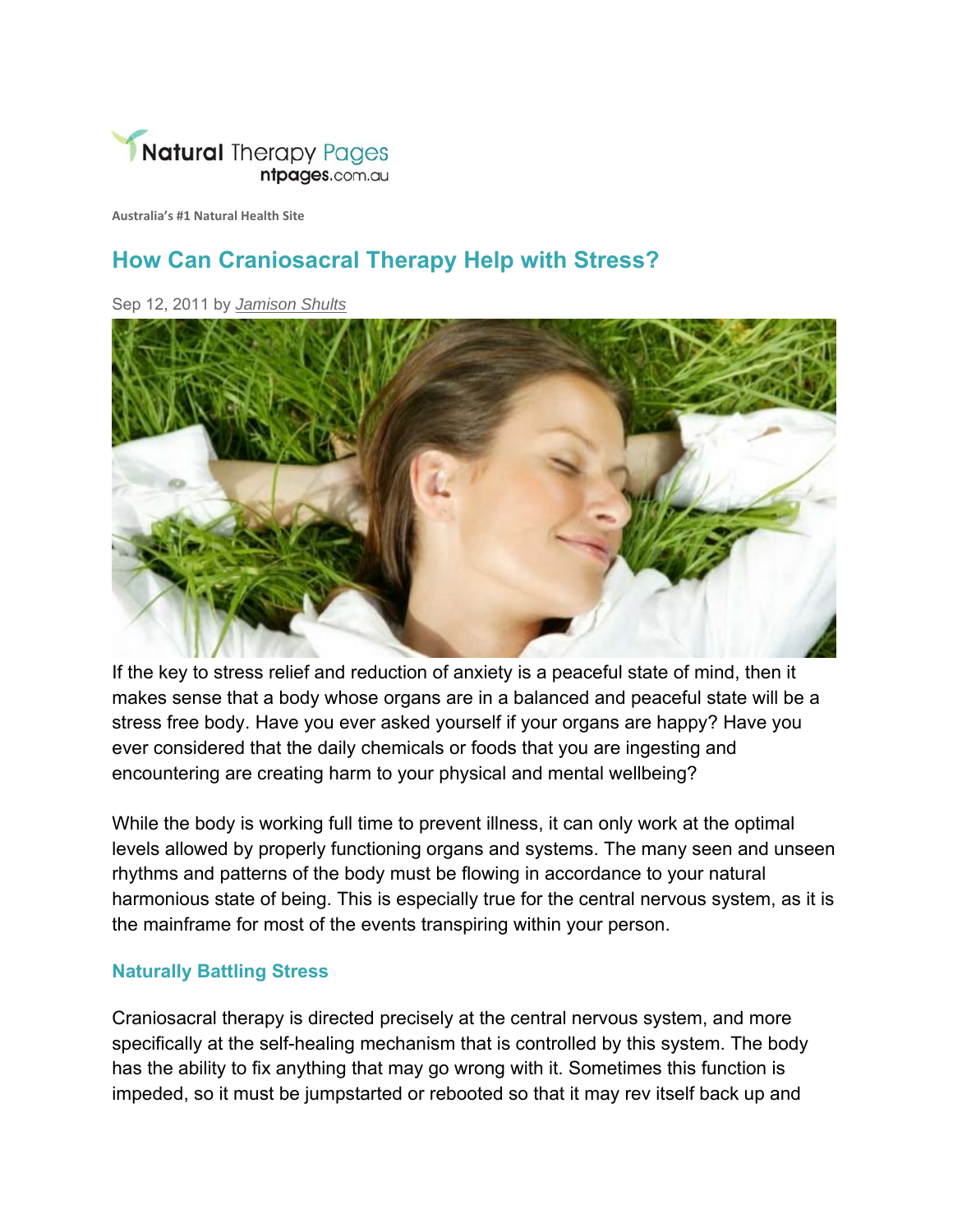

**Australia's #1 Natural Health Site**

## **How Can Craniosacral Therapy Help with Stress?**

Sep 12, 2011 by *Jamison Shults*



If the key to stress relief and reduction of anxiety is a peaceful state of mind, then it makes sense that a body whose organs are in a balanced and peaceful state will be a stress free body. Have you ever asked yourself if your organs are happy? Have you ever considered that the daily chemicals or foods that you are ingesting and encountering are creating harm to your physical and mental wellbeing?

While the body is working full time to prevent illness, it can only work at the optimal levels allowed by properly functioning organs and systems. The many seen and unseen rhythms and patterns of the body must be flowing in accordance to your natural harmonious state of being. This is especially true for the central nervous system, as it is the mainframe for most of the events transpiring within your person.

## **Naturally Battling Stress**

Craniosacral therapy is directed precisely at the central nervous system, and more specifically at the self-healing mechanism that is controlled by this system. The body has the ability to fix anything that may go wrong with it. Sometimes this function is impeded, so it must be jumpstarted or rebooted so that it may rev itself back up and